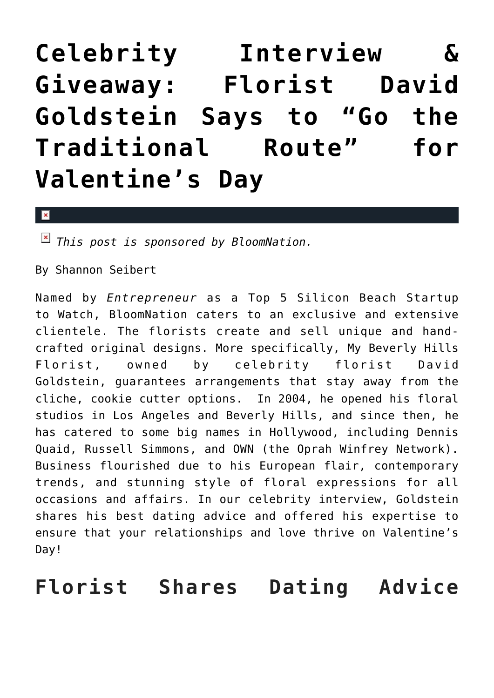## **[Celebrity Interview &](https://cupidspulse.com/86035/celebrity-interview-giveaway-david-goldstein/) [Giveaway: Florist David](https://cupidspulse.com/86035/celebrity-interview-giveaway-david-goldstein/) [Goldstein Says to "Go the](https://cupidspulse.com/86035/celebrity-interview-giveaway-david-goldstein/) [Traditional Route" for](https://cupidspulse.com/86035/celebrity-interview-giveaway-david-goldstein/) [Valentine's Day](https://cupidspulse.com/86035/celebrity-interview-giveaway-david-goldstein/)**

 $\mathbf{x}$ 

*This post is sponsored by BloomNation.*

By Shannon Seibert

Named by *Entrepreneur* as a Top 5 Silicon Beach Startup to Watch, BloomNation caters to an exclusive and extensive clientele. The florists create and sell unique and handcrafted original designs. More specifically, My Beverly Hills Florist, owned by celebrity florist David Goldstein, guarantees arrangements that stay away from the cliche, cookie cutter options. In 2004, he opened his floral studios in Los Angeles and Beverly Hills, and since then, he has catered to some big names in Hollywood, including Dennis Quaid, Russell Simmons, and OWN (the Oprah Winfrey Network). Business flourished due to his European flair, contemporary trends, and stunning style of floral expressions for all occasions and affairs. In our celebrity interview, Goldstein shares his best dating advice and offered his expertise to ensure that your relationships and love thrive on Valentine's Day!

**Florist Shares Dating Advice**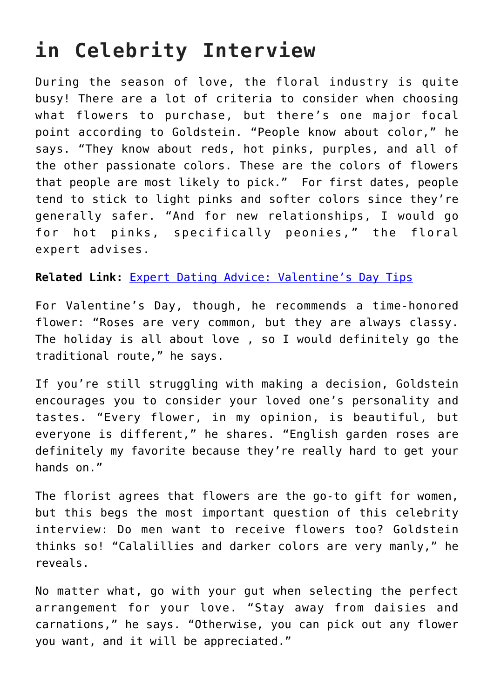## **in Celebrity Interview**

During the season of love, the floral industry is quite busy! There are a lot of criteria to consider when choosing what flowers to purchase, but there's one major focal point according to Goldstein. "People know about color," he says. "They know about reds, hot pinks, purples, and all of the other passionate colors. These are the colors of flowers that people are most likely to pick." For first dates, people tend to stick to light pinks and softer colors since they're generally safer. "And for new relationships, I would go for hot pinks, specifically peonies," the floral expert advises.

**Related Link:** [Expert Dating Advice: Valentine's Day Tips](http://cupidspulse.com/85814/expert-dating-advice-valentines-day-tips/)

For Valentine's Day, though, he recommends a time-honored flower: "Roses are very common, but they are always classy. The holiday is all about love , so I would definitely go the traditional route," he says.

If you're still struggling with making a decision, Goldstein encourages you to consider your loved one's personality and tastes. "Every flower, in my opinion, is beautiful, but everyone is different," he shares. "English garden roses are definitely my favorite because they're really hard to get your hands on."

The florist agrees that flowers are the go-to gift for women, but this begs the most important question of this celebrity interview: Do men want to receive flowers too? Goldstein thinks so! "Calalillies and darker colors are very manly," he reveals.

No matter what, go with your gut when selecting the perfect arrangement for your love. "Stay away from daisies and carnations," he says. "Otherwise, you can pick out any flower you want, and it will be appreciated."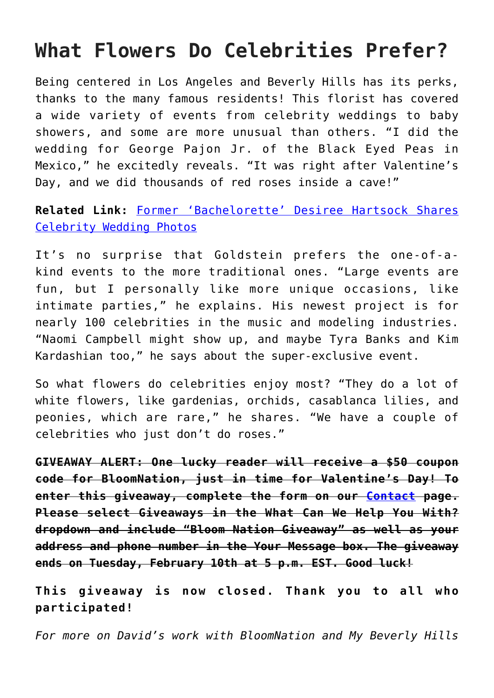## **What Flowers Do Celebrities Prefer?**

Being centered in Los Angeles and Beverly Hills has its perks, thanks to the many famous residents! This florist has covered a wide variety of events from celebrity weddings to baby showers, and some are more unusual than others. "I did the wedding for George Pajon Jr. of the Black Eyed Peas in Mexico," he excitedly reveals. "It was right after Valentine's Day, and we did thousands of red roses inside a cave!"

**Related Link:** [Former 'Bachelorette' Desiree Hartsock Shares](http://cupidspulse.com/85883/bachelorette-desiree-hartsock-celebrity-wedding-photos/) [Celebrity Wedding Photos](http://cupidspulse.com/85883/bachelorette-desiree-hartsock-celebrity-wedding-photos/)

It's no surprise that Goldstein prefers the one-of-akind events to the more traditional ones. "Large events are fun, but I personally like more unique occasions, like intimate parties," he explains. His newest project is for nearly 100 celebrities in the music and modeling industries. "Naomi Campbell might show up, and maybe Tyra Banks and Kim Kardashian too," he says about the super-exclusive event.

So what flowers do celebrities enjoy most? "They do a lot of white flowers, like gardenias, orchids, casablanca lilies, and peonies, which are rare," he shares. "We have a couple of celebrities who just don't do roses."

**GIVEAWAY ALERT: One lucky reader will receive a \$50 coupon code for BloomNation, just in time for Valentine's Day! To enter this giveaway, complete the form on our [Contact](http://cupidspulse.com/contact-cupid/) page. Please select Giveaways in the What Can We Help You With? dropdown and include "Bloom Nation Giveaway" as well as your address and phone number in the Your Message box. The giveaway ends on Tuesday, February 10th at 5 p.m. EST. Good luck!**

**This giveaway is now closed. Thank you to all who participated!**

*For more on David's work with BloomNation and My Beverly Hills*